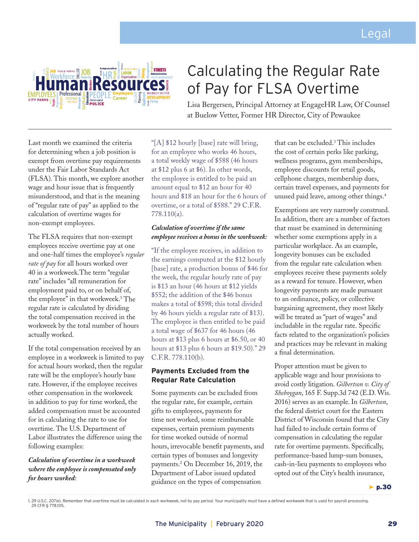

# Calculating the Regular Rate of Pay for FLSA Overtime

Lisa Bergersen, Principal Attorney at EngageHR Law, Of Counsel at Buelow Vetter, Former HR Director, City of Pewaukee

Last month we examined the criteria for determining when a job position is exempt from overtime pay requirements under the Fair Labor Standards Act (FLSA). This month, we explore another wage and hour issue that is frequently misunderstood, and that is the meaning of "regular rate of pay" as applied to the calculation of overtime wages for non-exempt employees.

The FLSA requires that non-exempt employees receive overtime pay at one and one-half times the employee's *regular rate of pay* for all hours worked over 40 in a workweek.The term "regular rate" includes "all remuneration for employment paid to, or on behalf of, the employee" in that workweek.1 The regular rate is calculated by dividing the total compensation received in the workweek by the total number of hours actually worked.

If the total compensation received by an employee in a workweek is limited to pay for actual hours worked, then the regular rate will be the employee's hourly base rate. However, if the employee receives other compensation in the workweek in addition to pay for time worked, the added compensation must be accounted for in calculating the rate to use for overtime. The U.S. Department of Labor illustrates the difference using the following examples:

## *Calculation of overtime in a workweek where the employee is compensated only for hours worked:*

"[A] \$12 hourly [base] rate will bring, for an employee who works 46 hours, a total weekly wage of \$588 (46 hours at \$12 plus 6 at \$6). In other words, the employee is entitled to be paid an amount equal to \$12 an hour for 40 hours and \$18 an hour for the 6 hours of overtime, or a total of \$588." 29 C.F.R. 778.110(a).

## *Calculation of overtime if the same employee receives a bonus in the workweek:*

"If the employee receives, in addition to the earnings computed at the \$12 hourly [base] rate, a production bonus of \$46 for the week, the regular hourly rate of pay is \$13 an hour (46 hours at \$12 yields \$552; the addition of the \$46 bonus makes a total of \$598; this total divided by 46 hours yields a regular rate of \$13). The employee is then entitled to be paid a total wage of \$637 for 46 hours (46 hours at \$13 plus 6 hours at \$6.50, or 40 hours at \$13 plus 6 hours at \$19.50)." 29 C.F.R. 778.110(b).

# **Payments Excluded from the Regular Rate Calculation**

Some payments can be excluded from the regular rate, for example, certain gifts to employees, payments for time not worked, some reimbursable expenses, certain premium payments for time worked outside of normal hours, irrevocable benefit payments, and certain types of bonuses and longevity payments.2 On December 16, 2019, the Department of Labor issued updated guidance on the types of compensation

that can be excluded.3 This includes the cost of certain perks like parking, wellness programs, gym memberships, employee discounts for retail goods, cellphone charges, membership dues, certain travel expenses, and payments for unused paid leave, among other things.4

Exemptions are very narrowly construed. In addition, there are a number of factors that must be examined in determining whether some exemptions apply in a particular workplace. As an example, longevity bonuses can be excluded from the regular rate calculation when employees receive these payments solely as a reward for tenure. However, when longevity payments are made pursuant to an ordinance, policy, or collective bargaining agreement, they most likely will be treated as "part of wages" and includable in the regular rate. Specific facts related to the organization's policies and practices may be relevant in making a final determination.

Proper attention must be given to applicable wage and hour provisions to avoid costly litigation. *Gilbertson v. City of Sheboygan*, 165 F. Supp.3d 742 (E.D. Wis. 2016) serves as an example. In *Gilbertson*, the federal district court for the Eastern District of Wisconsin found that the City had failed to include certain forms of compensation in calculating the regular rate for overtime payments. Specifically, performance-based lump-sum bonuses, cash-in-lieu payments to employees who opted out of the City's health insurance,

 $\blacktriangleright$  p.30

<sup>1. 29</sup> U.S.C. 207(e). Remember that overtime must be calculated in each workweek, not by pay period. Your municipality must have a defined workweek that is used for payroll processing. 29 CFR § 778.105.